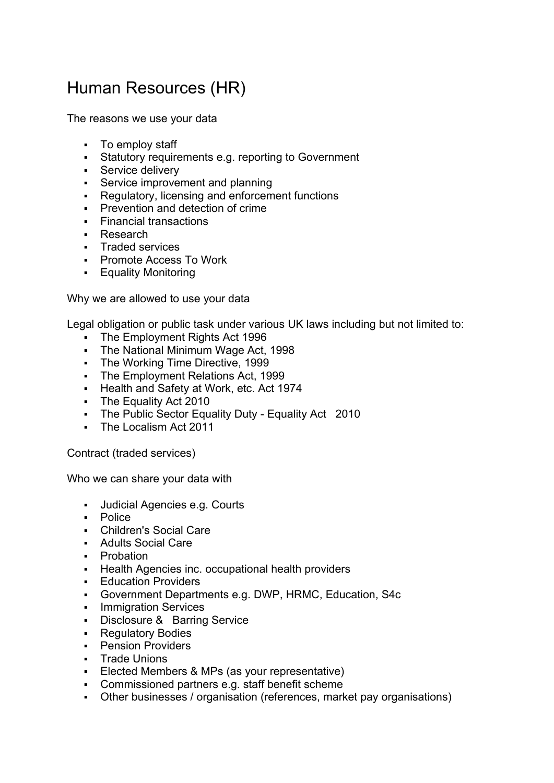## Human Resources (HR)

The reasons we use your data

- To employ staff
- Statutory requirements e.g. reporting to Government
- **Service delivery**
- **Service improvement and planning**
- Regulatory, licensing and enforcement functions
- **Prevention and detection of crime**
- **Financial transactions**
- Research
- **Traded services**
- Promote Access To Work
- **Equality Monitoring**

Why we are allowed to use your data

Legal obligation or public task under various UK laws including but not limited to:

- The Employment Rights Act 1996
- The National Minimum Wage Act, 1998
- The Working Time Directive, 1999
- The Employment Relations Act, 1999
- **Health and Safety at Work, etc. Act 1974**
- The Equality Act 2010
- The Public Sector Equality Duty Equality Act 2010
- The Localism Act 2011

Contract (traded services)

Who we can share your data with

- Judicial Agencies e.g. Courts
- Police
- Children's Social Care
- Adults Social Care
- **Probation**
- **Health Agencies inc. occupational health providers**
- **Education Providers**
- Government Departments e.g. DWP, HRMC, Education, S4c
- **Immigration Services**
- Disclosure & Barring Service
- **Regulatory Bodies**
- **-** Pension Providers
- **Trade Unions**
- Elected Members & MPs (as your representative)
- Commissioned partners e.g. staff benefit scheme
- Other businesses / organisation (references, market pay organisations)